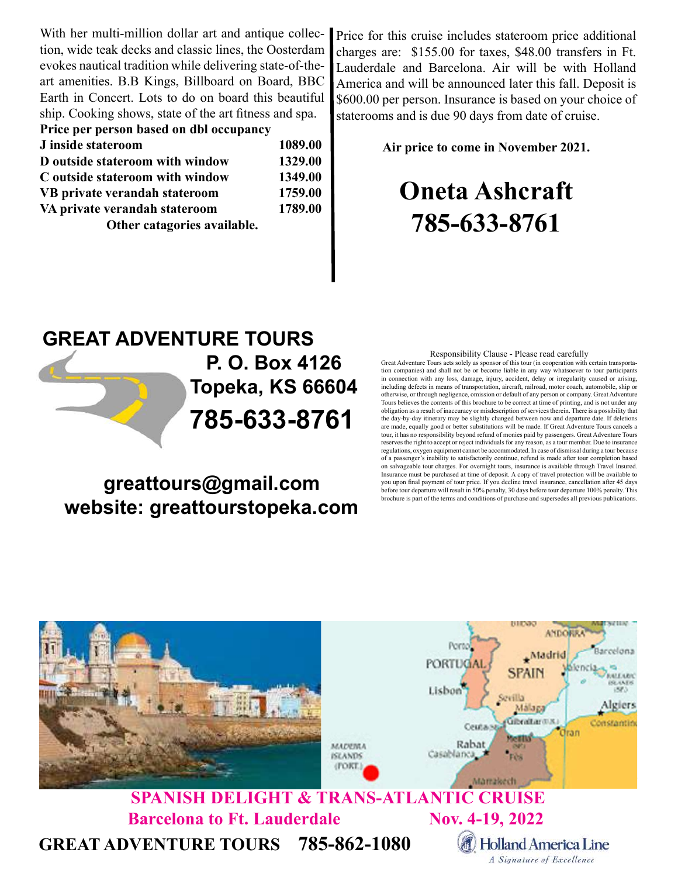With her multi-million dollar art and antique collection, wide teak decks and classic lines, the Oosterdam evokes nautical tradition while delivering state-of-theart amenities. B.B Kings, Billboard on Board, BBC Earth in Concert. Lots to do on board this beautiful ship. Cooking shows, state of the art fitness and spa.

| Price per person based on dbl occupancy |         |
|-----------------------------------------|---------|
| J inside stateroom                      | 1089.00 |
| D outside stateroom with window         | 1329.00 |
| C outside stateroom with window         | 1349.00 |
| VB private verandah stateroom           | 1759.00 |
| VA private verandah stateroom           | 1789.00 |
| Other catagories available.             |         |

Price for this cruise includes stateroom price additional charges are: \$155.00 for taxes, \$48.00 transfers in Ft. Lauderdale and Barcelona. Air will be with Holland America and will be announced later this fall. Deposit is \$600.00 per person. Insurance is based on your choice of staterooms and is due 90 days from date of cruise.

Air price to come in November 2021.

## Oneta Ashcraft 785-633-8761

## GREAT ADVENTURE TOURS 785-633-8761 P. O. Box 4126 Topeka, KS 66604

## greattours@gmail.com website: greattourstopeka.com

## Responsibility Clause - Please read carefully

Great Adventure Tours acts solely as sponsor of this tour (in cooperation with certain transportation companies) and shall not be or become liable in any way whatsoever to tour participants in connection with any loss, damage, injury, accident, delay or irregularity caused or arising, including defects in means of transportation, aircraft, railroad, motor coach, automobile, ship or otherwise, or through negligence, omission or default of any person or company. Great Adventure Tours believes the contents of this brochure to be correct at time of printing, and is not under any obligation as a result of inaccuracy or misdescription of services therein. There is a possibility that the day-by-day itinerary may be slightly changed between now and departure date. If deletions are made, equally good or better substitutions will be made. If Great Adventure Tours cancels a tour, it has no responsibility beyond refund of monies paid by passengers. Great Adventure Tours reserves the right to accept or reject individuals for any reason, as a tour member. Due to insurance regulations, oxygen equipment cannot be accommodated. In case of dismissal during a tour because of a passenger's inability to satisfactorily continue, refund is made after tour completion based on salvageable tour charges. For overnight tours, insurance is available through Travel Insured. Insurance must be purchased at time of deposit. A copy of travel protection will be available to you upon final payment of tour price. If you decline travel insurance, cancellation after 45 days before tour departure will result in 50% penalty, 30 days before tour departure 100% penalty. This brochure is part of the terms and conditions of purchase and supersedes all previous publications.